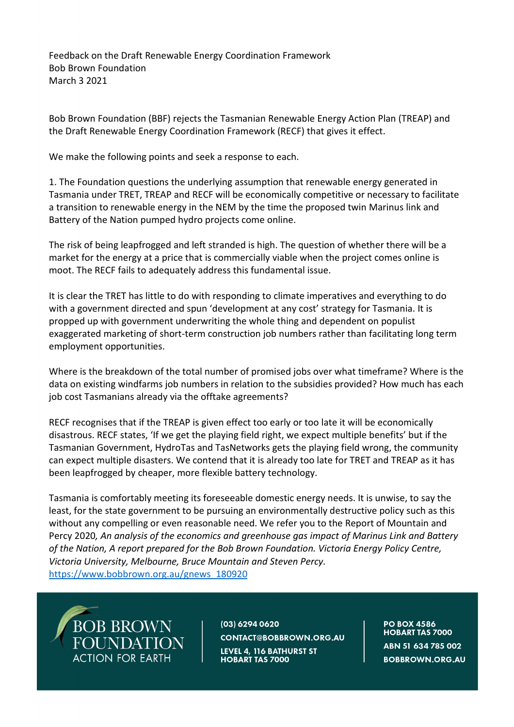Feedback on the Draft Renewable Energy Coordination Framework Bob Brown Foundation March 3 2021

Bob Brown Foundation (BBF) rejects the Tasmanian Renewable Energy Action Plan (TREAP) and the Draft Renewable Energy Coordination Framework (RECF) that gives it effect.

We make the following points and seek a response to each.

1. The Foundation questions the underlying assumption that renewable energy generated in Tasmania under TRET, TREAP and RECF will be economically competitive or necessary to facilitate a transition to renewable energy in the NEM by the time the proposed twin Marinus link and Battery of the Nation pumped hydro projects come online.

The risk of being leapfrogged and left stranded is high. The question of whether there will be a market for the energy at a price that is commercially viable when the project comes online is moot. The RECF fails to adequately address this fundamental issue.

It is clear the TRET has little to do with responding to climate imperatives and everything to do with a government directed and spun 'development at any cost' strategy for Tasmania. It is propped up with government underwriting the whole thing and dependent on populist exaggerated marketing of short-term construction job numbers rather than facilitating long term employment opportunities.

Where is the breakdown of the total number of promised jobs over what timeframe? Where is the data on existing windfarms job numbers in relation to the subsidies provided? How much has each job cost Tasmanians already via the offtake agreements?

RECF recognises that if the TREAP is given effect too early or too late it will be economically disastrous. RECF states, 'If we get the playing field right, we expect multiple benefits' but if the Tasmanian Government, HydroTas and TasNetworks gets the playing field wrong, the community can expect multiple disasters. We contend that it is already too late for TRET and TREAP as it has been leapfrogged by cheaper, more flexible battery technology.

Tasmania is comfortably meeting its foreseeable domestic energy needs. It is unwise, to say the least, for the state government to be pursuing an environmentally destructive policy such as this without any compelling or even reasonable need. We refer you to the Report of Mountain and Percy 2020*, An analysis of the economics and greenhouse gas impact of Marinus Link and Battery of the Nation, A report prepared for the Bob Brown Foundation. Victoria Energy Policy Centre, Victoria University, Melbourne, Bruce Mountain and Steven Percy.* [https://www.bobbrown.org.au/gnews\\_180920](https://www.bobbrown.org.au/gnews_180920)



(03) 6294 0620

CONTACT@BOBBROWN.ORG.AU LEVEL 4, 116 BATHURST ST **HOBART TAS 7000** 

**PO BOX 4586 HOBART TAS 7000** ABN 51 634 785 002 **BOBBROWN.ORG.AU**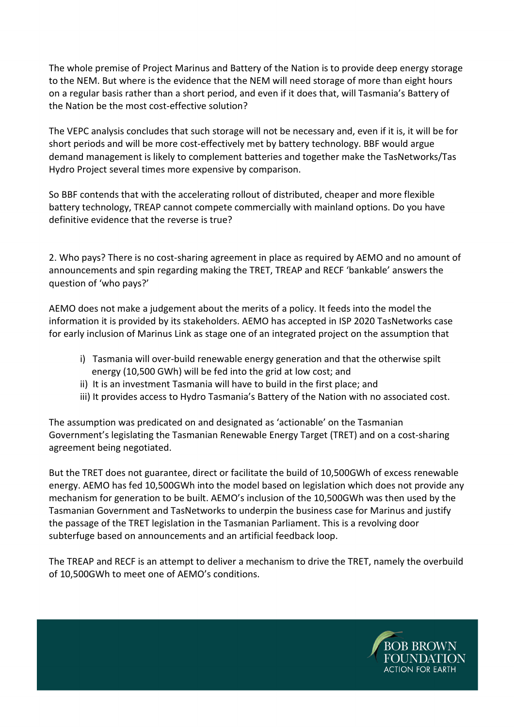The whole premise of Project Marinus and Battery of the Nation is to provide deep energy storage to the NEM. But where is the evidence that the NEM will need storage of more than eight hours on a regular basis rather than a short period, and even if it does that, will Tasmania's Battery of the Nation be the most cost-effective solution?

The VEPC analysis concludes that such storage will not be necessary and, even if it is, it will be for short periods and will be more cost-effectively met by battery technology. BBF would argue demand management is likely to complement batteries and together make the TasNetworks/Tas Hydro Project several times more expensive by comparison.

So BBF contends that with the accelerating rollout of distributed, cheaper and more flexible battery technology, TREAP cannot compete commercially with mainland options. Do you have definitive evidence that the reverse is true?

2. Who pays? There is no cost-sharing agreement in place as required by AEMO and no amount of announcements and spin regarding making the TRET, TREAP and RECF 'bankable' answers the question of 'who pays?'

AEMO does not make a judgement about the merits of a policy. It feeds into the model the information it is provided by its stakeholders. AEMO has accepted in ISP 2020 TasNetworks case for early inclusion of Marinus Link as stage one of an integrated project on the assumption that

- i) Tasmania will over-build renewable energy generation and that the otherwise spilt energy (10,500 GWh) will be fed into the grid at low cost; and
- ii) It is an investment Tasmania will have to build in the first place; and
- iii) It provides access to Hydro Tasmania's Battery of the Nation with no associated cost.

The assumption was predicated on and designated as 'actionable' on the Tasmanian Government's legislating the Tasmanian Renewable Energy Target (TRET) and on a cost-sharing agreement being negotiated.

But the TRET does not guarantee, direct or facilitate the build of 10,500GWh of excess renewable energy. AEMO has fed 10,500GWh into the model based on legislation which does not provide any mechanism for generation to be built. AEMO's inclusion of the 10,500GWh was then used by the Tasmanian Government and TasNetworks to underpin the business case for Marinus and justify the passage of the TRET legislation in the Tasmanian Parliament. This is a revolving door subterfuge based on announcements and an artificial feedback loop.

The TREAP and RECF is an attempt to deliver a mechanism to drive the TRET, namely the overbuild of 10,500GWh to meet one of AEMO's conditions.

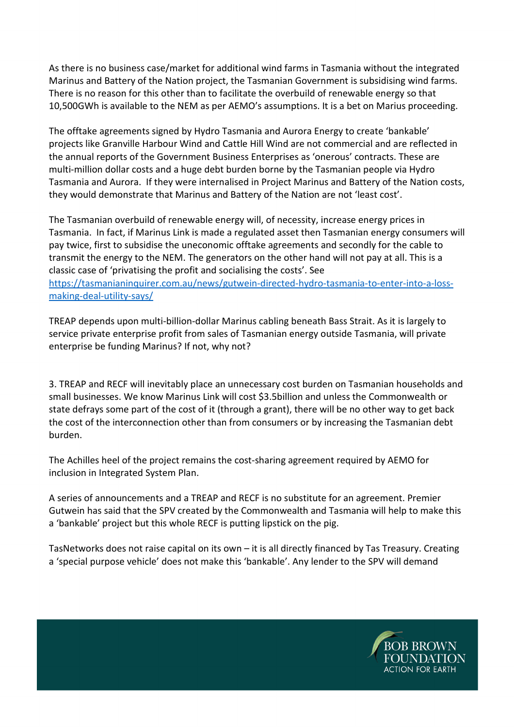As there is no business case/market for additional wind farms in Tasmania without the integrated Marinus and Battery of the Nation project, the Tasmanian Government is subsidising wind farms. There is no reason for this other than to facilitate the overbuild of renewable energy so that 10,500GWh is available to the NEM as per AEMO's assumptions. It is a bet on Marius proceeding.

The offtake agreements signed by Hydro Tasmania and Aurora Energy to create 'bankable' projects like Granville Harbour Wind and Cattle Hill Wind are not commercial and are reflected in the annual reports of the Government Business Enterprises as 'onerous' contracts. These are multi-million dollar costs and a huge debt burden borne by the Tasmanian people via Hydro Tasmania and Aurora. If they were internalised in Project Marinus and Battery of the Nation costs, they would demonstrate that Marinus and Battery of the Nation are not 'least cost'.

The Tasmanian overbuild of renewable energy will, of necessity, increase energy prices in Tasmania. In fact, if Marinus Link is made a regulated asset then Tasmanian energy consumers will pay twice, first to subsidise the uneconomic offtake agreements and secondly for the cable to transmit the energy to the NEM. The generators on the other hand will not pay at all. This is a classic case of 'privatising the profit and socialising the costs'. See [https://tasmanianinquirer.com.au/news/gutwein-directed-hydro-tasmania-to-enter-into-a-loss](https://tasmanianinquirer.com.au/news/gutwein-directed-hydro-tasmania-to-enter-into-a-loss-making-deal-utility-says/)[making-deal-utility-says/](https://tasmanianinquirer.com.au/news/gutwein-directed-hydro-tasmania-to-enter-into-a-loss-making-deal-utility-says/)

TREAP depends upon multi-billion-dollar Marinus cabling beneath Bass Strait. As it is largely to service private enterprise profit from sales of Tasmanian energy outside Tasmania, will private enterprise be funding Marinus? If not, why not?

3. TREAP and RECF will inevitably place an unnecessary cost burden on Tasmanian households and small businesses. We know Marinus Link will cost \$3.5billion and unless the Commonwealth or state defrays some part of the cost of it (through a grant), there will be no other way to get back the cost of the interconnection other than from consumers or by increasing the Tasmanian debt burden.

The Achilles heel of the project remains the cost-sharing agreement required by AEMO for inclusion in Integrated System Plan.

A series of announcements and a TREAP and RECF is no substitute for an agreement. Premier Gutwein has said that the SPV created by the Commonwealth and Tasmania will help to make this a 'bankable' project but this whole RECF is putting lipstick on the pig.

TasNetworks does not raise capital on its own – it is all directly financed by Tas Treasury. Creating a 'special purpose vehicle' does not make this 'bankable'. Any lender to the SPV will demand

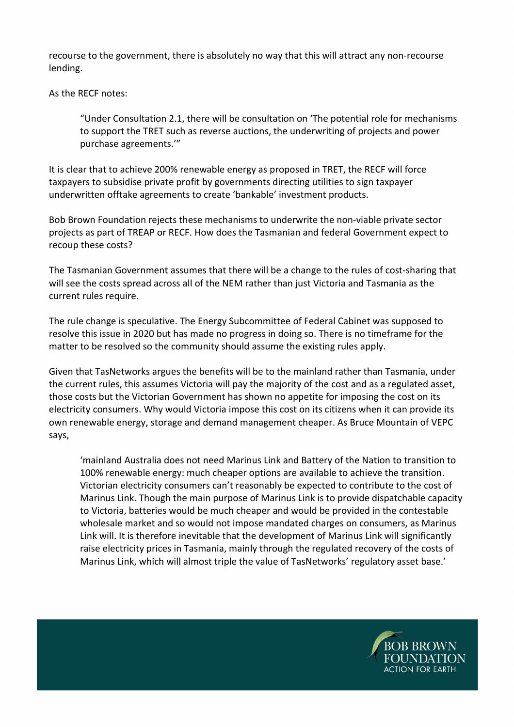recourse to the government, there is absolutely no way that this will attract any non-recourse lending.

As the RECF notes:

"Under Consultation 2.1, there will be consultation on 'The potential role for mechanisms to support the TRET such as reverse auctions, the underwriting of projects and power purchase agreements.'"

It is clear that to achieve 200% renewable energy as proposed in TRET, the RECF will force taxpayers to subsidise private profit by governments directing utilities to sign taxpayer underwritten offtake agreements to create 'bankable' investment products.

Bob Brown Foundation rejects these mechanisms to underwrite the non-viable private sector projects as part of TREAP or RECF. How does the Tasmanian and federal Government expect to recoup these costs?

The Tasmanian Government assumes that there will be a change to the rules of cost-sharing that will see the costs spread across all of the NEM rather than just Victoria and Tasmania as the current rules require.

The rule change is speculative. The Energy Subcommittee of Federal Cabinet was supposed to resolve this issue in 2020 but has made no progress in doing so. There is no timeframe for the matter to be resolved so the community should assume the existing rules apply.

Given that TasNetworks argues the benefits will be to the mainland rather than Tasmania, under the current rules, this assumes Victoria will pay the majority of the cost and as a regulated asset, those costs but the Victorian Government has shown no appetite for imposing the cost on its electricity consumers. Why would Victoria impose this cost on its citizens when it can provide its own renewable energy, storage and demand management cheaper. As Bruce Mountain of VEPC says,

'mainland Australia does not need Marinus Link and Battery of the Nation to transition to 100% renewable energy: much cheaper options are available to achieve the transition. Victorian electricity consumers can't reasonably be expected to contribute to the cost of Marinus Link. Though the main purpose of Marinus Link is to provide dispatchable capacity to Victoria, batteries would be much cheaper and would be provided in the contestable wholesale market and so would not impose mandated charges on consumers, as Marinus Link will. It is therefore inevitable that the development of Marinus Link will significantly raise electricity prices in Tasmania, mainly through the regulated recovery of the costs of Marinus Link, which will almost triple the value of TasNetworks' regulatory asset base.'

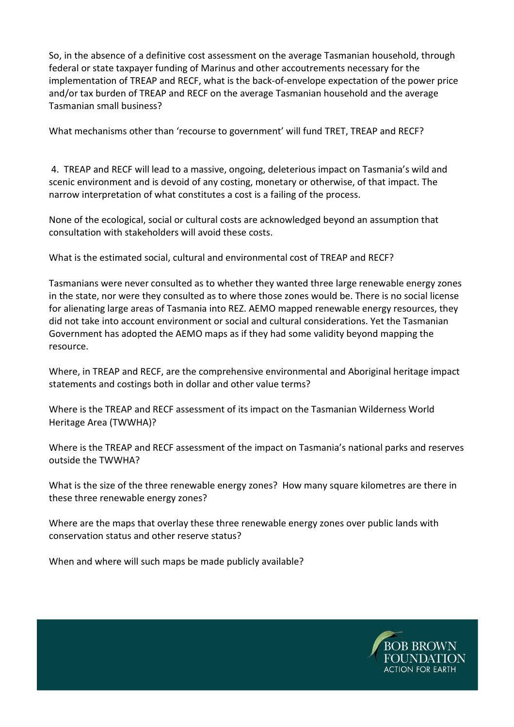So, in the absence of a definitive cost assessment on the average Tasmanian household, through federal or state taxpayer funding of Marinus and other accoutrements necessary for the implementation of TREAP and RECF, what is the back-of-envelope expectation of the power price and/or tax burden of TREAP and RECF on the average Tasmanian household and the average Tasmanian small business?

What mechanisms other than 'recourse to government' will fund TRET, TREAP and RECF?

4. TREAP and RECF will lead to a massive, ongoing, deleterious impact on Tasmania's wild and scenic environment and is devoid of any costing, monetary or otherwise, of that impact. The narrow interpretation of what constitutes a cost is a failing of the process.

None of the ecological, social or cultural costs are acknowledged beyond an assumption that consultation with stakeholders will avoid these costs.

What is the estimated social, cultural and environmental cost of TREAP and RECF?

Tasmanians were never consulted as to whether they wanted three large renewable energy zones in the state, nor were they consulted as to where those zones would be. There is no social license for alienating large areas of Tasmania into REZ. AEMO mapped renewable energy resources, they did not take into account environment or social and cultural considerations. Yet the Tasmanian Government has adopted the AEMO maps as if they had some validity beyond mapping the resource.

Where, in TREAP and RECF, are the comprehensive environmental and Aboriginal heritage impact statements and costings both in dollar and other value terms?

Where is the TREAP and RECF assessment of its impact on the Tasmanian Wilderness World Heritage Area (TWWHA)?

Where is the TREAP and RECF assessment of the impact on Tasmania's national parks and reserves outside the TWWHA?

What is the size of the three renewable energy zones? How many square kilometres are there in these three renewable energy zones?

Where are the maps that overlay these three renewable energy zones over public lands with conservation status and other reserve status?

When and where will such maps be made publicly available?

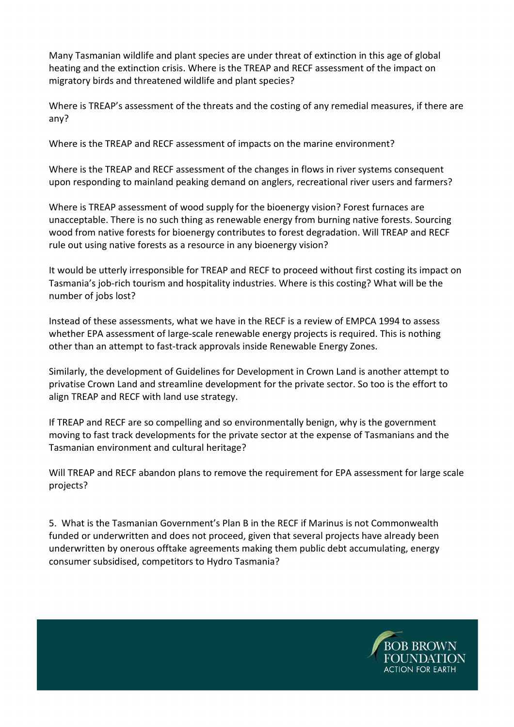Many Tasmanian wildlife and plant species are under threat of extinction in this age of global heating and the extinction crisis. Where is the TREAP and RECF assessment of the impact on migratory birds and threatened wildlife and plant species?

Where is TREAP's assessment of the threats and the costing of any remedial measures, if there are any?

Where is the TREAP and RECF assessment of impacts on the marine environment?

Where is the TREAP and RECF assessment of the changes in flows in river systems consequent upon responding to mainland peaking demand on anglers, recreational river users and farmers?

Where is TREAP assessment of wood supply for the bioenergy vision? Forest furnaces are unacceptable. There is no such thing as renewable energy from burning native forests. Sourcing wood from native forests for bioenergy contributes to forest degradation. Will TREAP and RECF rule out using native forests as a resource in any bioenergy vision?

It would be utterly irresponsible for TREAP and RECF to proceed without first costing its impact on Tasmania's job-rich tourism and hospitality industries. Where is this costing? What will be the number of jobs lost?

Instead of these assessments, what we have in the RECF is a review of EMPCA 1994 to assess whether EPA assessment of large-scale renewable energy projects is required. This is nothing other than an attempt to fast-track approvals inside Renewable Energy Zones.

Similarly, the development of Guidelines for Development in Crown Land is another attempt to privatise Crown Land and streamline development for the private sector. So too is the effort to align TREAP and RECF with land use strategy.

If TREAP and RECF are so compelling and so environmentally benign, why is the government moving to fast track developments for the private sector at the expense of Tasmanians and the Tasmanian environment and cultural heritage?

Will TREAP and RECF abandon plans to remove the requirement for EPA assessment for large scale projects?

5. What is the Tasmanian Government's Plan B in the RECF if Marinus is not Commonwealth funded or underwritten and does not proceed, given that several projects have already been underwritten by onerous offtake agreements making them public debt accumulating, energy consumer subsidised, competitors to Hydro Tasmania?